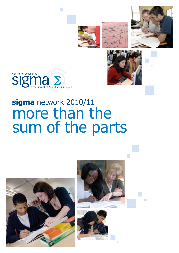









# **sigma** network 2010/11 more than the sum of the parts

 $\mathcal{L}_{\mathcal{A}}$ 





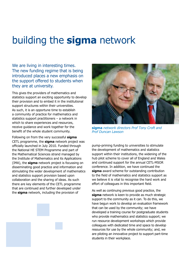## building the **sigma** network

We are living in interesting times. The new funding regime that is being introduced places a new emphasis on the support offered to students when they are at university.

This gives the providers of mathematics and statistics support an exciting opportunity to develop their provision and to embed it in the institutional support structures within their universities. As such, it is an opportune time to establish a community of practice for mathematics and statistics support practitioners – a network in which to share experiences and resources, receive guidance and work together for the benefit of the whole student community.

Following on from the very successful **sigma** CETL programme, the **sigma** network project was officially launched in July 2010. Funded through the National HE STEM Programme and part of the Mathematical Sciences strand managed by the Institute of Mathematics and its Applications (IMA), the **sigma** network project is focussing on disseminating good practice and information and stimulating the wider development of mathematics and statistics support provision based upon collaboration and the sharing of ideas. As such there are key elements of the CETL programme that are continued and further developed under the **sigma** network, including the provision of



**sigma** *network directors Prof Tony Croft and Prof Duncan Lawson*

pump-priming funding to universities to stimulate the development of mathematics and statistics support within their institutions, the widening of the hub pilot scheme to cover all of England and Wales and continued support for the annual CETL-MSOR conference. In addition, we have continued the **sigma** award scheme for outstanding contribution to the field of mathematics and statistics support as we believe it is vital to recognise the hard work and effort of colleagues in this important field.

As well as continuing previous good practice, the **sigma** network is keen to provide as much strategic support to the community as it can. To do this, we have begun work to develop an evaluation framework that can be used by the community; we have developed a training course for postgraduate students who provide mathematics and statistics support; we run resource development workshops which provide colleagues with dedicated time and space to develop resources for use by the whole community; and, we are piloting an innovative project to support part-time students in their workplace.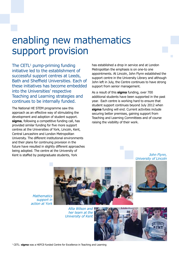### enabling new mathematics support provision

The CETL<sup>1</sup> pump-priming funding initiative led to the establishment of successful support centres at Leeds, Bath and Sheffield Universities. Each of these initiatives has become embedded into the Universities' respective Teaching and Learning strategies and continues to be internally funded.

The National HE STEM programme saw this approach as an effective way of stimulating the development and adoption of student support. **sigma**, following a competitive funding call, has provided similar funding for five more support centres at the Universities of York, Lincoln, Kent, Central Lancashire and London Metropolitan University. The different institutional environments and their plans for continuing provision in the future have resulted in slightly different approaches being adopted. The centre at the University of Kent is staffed by postgraduate students, York

has established a drop in service and at London Metropolitan the emphasis is on one-to one appointments. At Lincoln, John Flynn established the support centre in the University Library and although John left in July, the Centre continues to have strong support from senior management.

As a result of this **sigma** funding, over 700 additional students have been supported in the past year. Each centre is working hard to ensure that student support continues beyond July 2012 when **sigma** funding will end. Current activities include securing better premises, gaining support from Teaching and Learning Committees and of course raising the visibility of their work.

#### *John Flynn, University of Lincoln*



*support in action at York Allia Wilson and* 

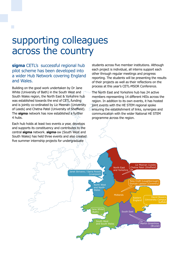### supporting colleagues across the country

**sigma** CETL's successful regional hub pilot scheme has been developed into a wider Hub Network covering England and Wales.

Building on the good work undertaken by Dr Jane White (University of Bath) in the South West and South Wales region, the North East & Yorkshire hub was established towards the end of CETL funding and is jointly co-ordinated by Liz Meenan (University of Leeds) and Chetna Patel (University of Sheffield). The **sigma** network has now established a further 4 hubs.

Each hub holds at least two events a year, develops and supports its constituency and contributes to the central **sigma** network. **sigma**-sw (South West and South Wales) has held three events and also created five summer internship projects for undergraduate

students across five member institutions. Although each project is individual, all interns support each other through regular meetings and progress reporting. The students will be presenting the results of their projects as well as their reflections on the process at this year's CETL-MSOR Conference.

The North East and Yorkshire hub has 24 active members representing 14 different HEIs across the region. In addition to its own events, it has hosted joint events with the HE STEM regional spoke ensuring the establishment of links, synergies and communication with the wider National HE STEM programme across the region.

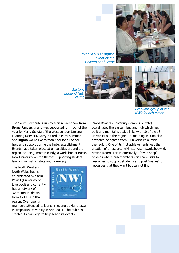

*Joint HESTEM-sigma event at the University of Leeds*





*Breakout group at the NW2 launch event*

*England Hub event*

*Eastern* 

The South East hub is run by Martin Greenhow from Brunel University and was supported for much of the year by Kerry Schutz of the West London Lifelong Learning Network. Kerry retired in early summer and **sigma** would like to thank her for all of her help and support during the hub's establishment. Events have taken place at universities around the region including, most recently, a workshop at Bucks New University on the theme: Supporting student learning in maths, stats and numeracy.

The North West and North Wales hub is co-ordinated by Sarra Powell (University of Liverpool) and currently has a network of 32 members drawn from 12 HEIs in the region. Over twenty



members attended its launch meeting at Manchester Metropolitan University in April 2011. The hub has created its own logo to help brand its events.

David Bowers (University Campus Suffolk) coordinates the Eastern England hub which has built and maintains active links with 10 of the 13 universities in the region. Its meeting in June also attracted delegates from 8 universities outside the region. One of its first achievements was the creation of a resource wiki http://sumswokshopwiki. pbworks.com This is effectively a 'swap shop' of ideas where hub members can share links to resources to support students and post 'wishes' for resources that they want but cannot find.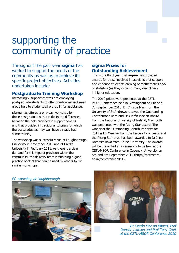## supporting the community of practice

Throughout the past year **sigma** has worked to support the needs of the community as well as to achieve its specific project objectives. Activities undertaken include:

#### **Postgraduate Training Workshop**

Increasingly, support centres are employing postgraduate students to offer one-to-one and small group help to students who drop in for assistance.

**sigma** has offered a one-day workshop for these postgraduates that reflects the differences between the help provided in support centres and that provided in traditional tutorials for which the postgraduates may well have already had some training.

The workshop was successfully run at Loughborough University in November 2010 and at Cardiff University in February 2011. As there is a clear demand for this type of provision within the community, the delivery team is finalising a good practice booklet that can be used by others to run similar workshops.

#### **sigma Prizes for Outstanding Achievement**

This is the third year that **sigma** has provided awards for those involved in activities that support and enhance students' learning of mathematics and/ or statistics (as they occur in many disciplines) in higher education.

The 2010 prizes were presented at the CETL-MSOR Conference held in Birmingham on 6th and 7th September 2010. Dr Christie Marr from the University of St Andrews received the Outstanding Contributor award and Dr Ciarán Mac an Bhaird from the National University of Ireland, Maynooth was presented with the Rising Star award. The winner of the Outstanding Contributor prize for 2011 is Liz Meenan from the University of Leeds and the Rising Star prize has been awarded to Dr Inna Namestnikova from Brunel University. The awards will be presented at a ceremony to be held at the CETL-MSOR Conference in Coventry University on 5th and 6th September 2011 (http://mathstore. ac.uk/conference2011).



*PG workshop at Loughborough*



*Dr Ciarán Mac an Bhaird, Prof Duncan Lawson and Prof Tony Croft at the CETL-MSOR Conference 2010*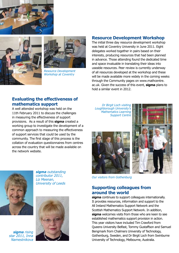





*Resource Development Workshop at Coventry*

#### **Resource Development Workshop**

The initial three day resource development workshop was held at Coventry University in June 2011. Eight delegates worked together in pairs based on their interests, producing resources that had been planned in advance. Those attending found the dedicated time and space invaluable in translating their ideas into useable resources. Peer review is currently underway of all resources developed at the workshop and these will be made available more widely in the coming weeks through the Community pages on www.mathcentre. ac.uk. Given the success of this event, **sigma** plans to hold a similar event in 2012.

### **Evaluating the effectiveness of mathematics support**

A well attended workshop was held on the 11th February 2011 to discuss the challenges in measuring the effectiveness of support provisions. As a result of this **sigma** created a working group to investigate the development of a common approach to measuring the effectiveness of support services that could be used by the community. The first stage of this process is the collation of evaluation questionnaires from centres across the country that will be made available on the network website.





*Our visitors from Gothenburg*

#### **Supporting colleagues from around the world**

**sigma** continues to support colleagues internationally. It provides resources, information and support to the All Ireland Mathematics Support Network and the Scottish Mathematics Support Network. In addition, **sigma** welcomes visits from those who are keen to see established mathematics support provision in action. This year visitors have included Tim Crawford from Queens University Belfast, Tommy Gustaffson and Samuel Bengmark from Chalmers University of Technology, Gothenburg, Sweden, and Dr Birgit Loch from Swinburne University of Technology, Melbourne, Australia.



*sigma outstanding contributor 2011, Liz Meenan, University of Leeds*



*sigma rising star 2011, Inna Namestnikova*